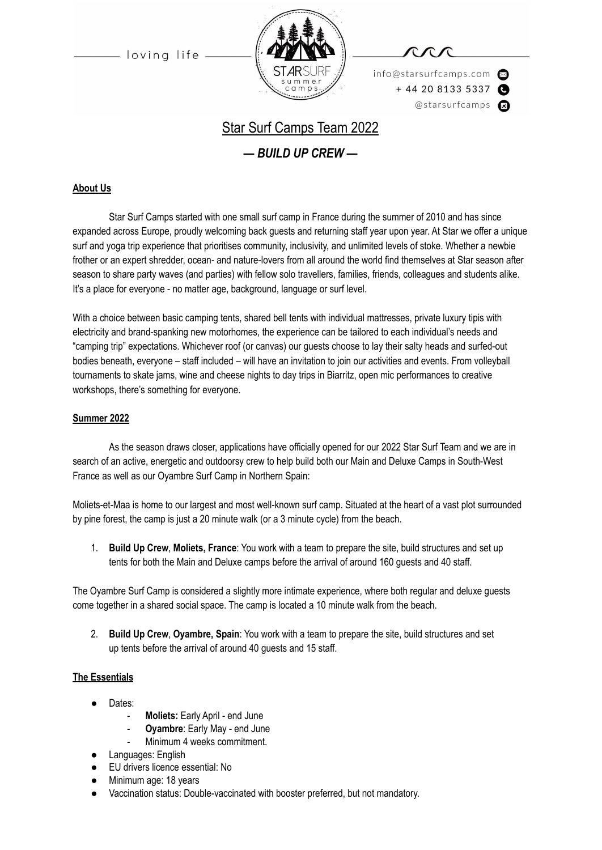loving life



info@starsurfcamps.com  $+442081335337$ @starsurfcamps @

# Star Surf Camps Team 2022

*— BUILD UP CREW —*

### **About Us**

Star Surf Camps started with one small surf camp in France during the summer of 2010 and has since expanded across Europe, proudly welcoming back guests and returning staff year upon year. At Star we offer a unique surf and yoga trip experience that prioritises community, inclusivity, and unlimited levels of stoke. Whether a newbie frother or an expert shredder, ocean- and nature-lovers from all around the world find themselves at Star season after season to share party waves (and parties) with fellow solo travellers, families, friends, colleagues and students alike. It's a place for everyone - no matter age, background, language or surf level.

With a choice between basic camping tents, shared bell tents with individual mattresses, private luxury tipis with electricity and brand-spanking new motorhomes, the experience can be tailored to each individual's needs and "camping trip" expectations. Whichever roof (or canvas) our guests choose to lay their salty heads and surfed-out bodies beneath, everyone – staff included – will have an invitation to join our activities and events. From volleyball tournaments to skate jams, wine and cheese nights to day trips in Biarritz, open mic performances to creative workshops, there's something for everyone.

#### **Summer 2022**

As the season draws closer, applications have officially opened for our 2022 Star Surf Team and we are in search of an active, energetic and outdoorsy crew to help build both our Main and Deluxe Camps in South-West France as well as our Oyambre Surf Camp in Northern Spain:

Moliets-et-Maa is home to our largest and most well-known surf camp. Situated at the heart of a vast plot surrounded by pine forest, the camp is just a 20 minute walk (or a 3 minute cycle) from the beach.

1. **Build Up Crew**, **Moliets, France**: You work with a team to prepare the site, build structures and set up tents for both the Main and Deluxe camps before the arrival of around 160 guests and 40 staff.

The Oyambre Surf Camp is considered a slightly more intimate experience, where both regular and deluxe guests come together in a shared social space. The camp is located a 10 minute walk from the beach.

2. **Build Up Crew**, **Oyambre, Spain**: You work with a team to prepare the site, build structures and set up tents before the arrival of around 40 guests and 15 staff.

#### **The Essentials**

- Dates:
	- **Moliets:** Early April end June
	- **Oyambre**: Early May end June
	- Minimum 4 weeks commitment.
- Languages: English
- EU drivers licence essential: No
- Minimum age: 18 years
- Vaccination status: Double-vaccinated with booster preferred, but not mandatory.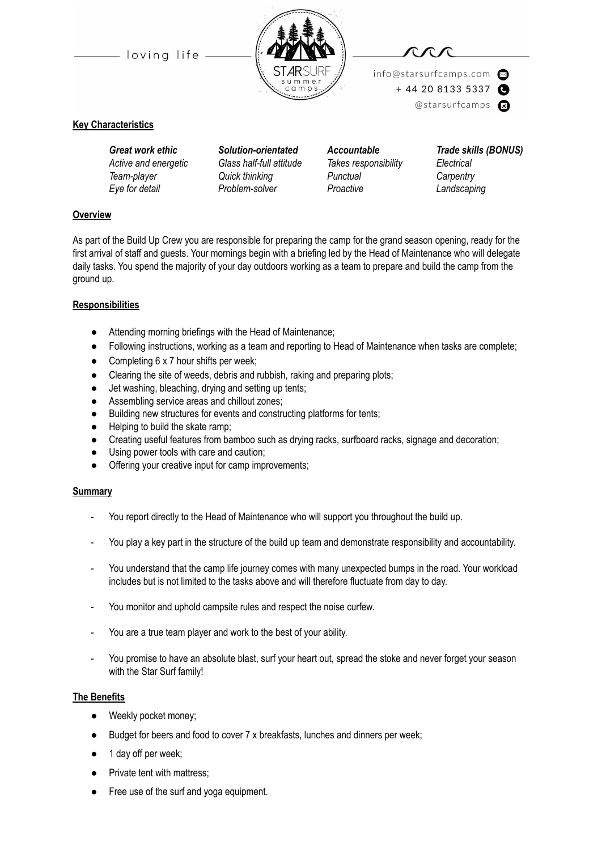- loving life





info@starsurfcamps.com  $+442081335337$ @starsurfcamps @

#### **Key Characteristics**

*Active and energetic Glass half-full attitude Takes responsibility Electrical Team-player Quick thinking Punctual Carpentry Eye for detail Problem-solver Proactive Landscaping*

*Great work ethic Solution-orientated Accountable Trade skills (BONUS)*

### **Overview**

As part of the Build Up Crew you are responsible for preparing the camp for the grand season opening, ready for the first arrival of staff and guests. Your mornings begin with a briefing led by the Head of Maintenance who will delegate daily tasks. You spend the majority of your day outdoors working as a team to prepare and build the camp from the ground up.

#### **Responsibilities**

- Attending morning briefings with the Head of Maintenance;
- Following instructions, working as a team and reporting to Head of Maintenance when tasks are complete;
- $\bullet$  Completing 6 x 7 hour shifts per week;
- Clearing the site of weeds, debris and rubbish, raking and preparing plots;
- Jet washing, bleaching, drying and setting up tents;
- Assembling service areas and chillout zones;
- Building new structures for events and constructing platforms for tents;
- Helping to build the skate ramp;
- Creating useful features from bamboo such as drying racks, surfboard racks, signage and decoration;
- Using power tools with care and caution;
- Offering your creative input for camp improvements;

#### **Summary**

- You report directly to the Head of Maintenance who will support you throughout the build up.
- You play a key part in the structure of the build up team and demonstrate responsibility and accountability.
- You understand that the camp life journey comes with many unexpected bumps in the road. Your workload includes but is not limited to the tasks above and will therefore fluctuate from day to day.
- You monitor and uphold campsite rules and respect the noise curfew.
- You are a true team player and work to the best of your ability.
- You promise to have an absolute blast, surf your heart out, spread the stoke and never forget your season with the Star Surf family!

#### **The Benefits**

- Weekly pocket money;
- Budget for beers and food to cover 7 x breakfasts, lunches and dinners per week;
- 1 day off per week;
- Private tent with mattress;
- Free use of the surf and yoga equipment.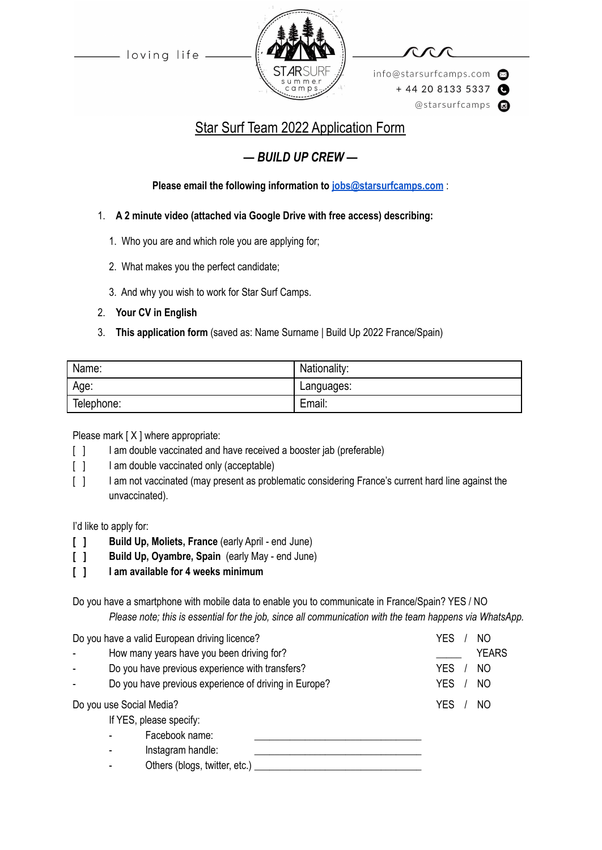-loving life



info@starsurfcamps.com  $+442081335337$ @starsurfcamps @

# Star Surf Team 2022 Application Form

## *— BUILD UP CREW —*

**Please email the following information to [jobs@starsurfcamps.com](mailto:jobs@starsurfcamps.com)** :

- 1. **A 2 minute video (attached via Google Drive with free access) describing:**
	- 1️. Who you are and which role you are applying for;
	- 2. What makes you the perfect candidate;
	- 3️. And why you wish to work for Star Surf Camps.
- 2. **Your CV in English**
- 3. **This application form** (saved as: Name Surname | Build Up 2022 France/Spain)

| Name:      | Nationality: |
|------------|--------------|
| Age:       | Languages:   |
| Telephone: | Email:       |

Please mark [X ] where appropriate:

- [ ] I am double vaccinated and have received a booster jab (preferable)
- [ ] I am double vaccinated only (acceptable)
- [  $1$  I am not vaccinated (may present as problematic considering France's current hard line against the unvaccinated).

I'd like to apply for:

- **[ ] Build Up, Moliets, France** (early April end June)
- **[ ] Build Up, Oyambre, Spain** (early May end June)
- **[ ] I am available for 4 weeks minimum**

Do you have a smartphone with mobile data to enable you to communicate in France/Spain? YES / NO *Please note; this is essential for the job, since all communication with the team happens via WhatsApp.*

| Do you have a valid European driving licence? |                                                 |                                                       | YES<br>NO                    |
|-----------------------------------------------|-------------------------------------------------|-------------------------------------------------------|------------------------------|
|                                               |                                                 | How many years have you been driving for?             | <b>YEARS</b>                 |
|                                               | Do you have previous experience with transfers? |                                                       | <b>YES</b><br>N <sub>O</sub> |
|                                               |                                                 | Do you have previous experience of driving in Europe? | <b>YES</b><br>N <sub>O</sub> |
| Do you use Social Media?                      |                                                 |                                                       | <b>YES</b><br>NO             |
| If YES, please specify:                       |                                                 |                                                       |                              |
|                                               |                                                 | Facebook name:                                        |                              |
|                                               |                                                 | Instagram handle:                                     |                              |
|                                               |                                                 | Others (blogs, twitter, etc.)                         |                              |